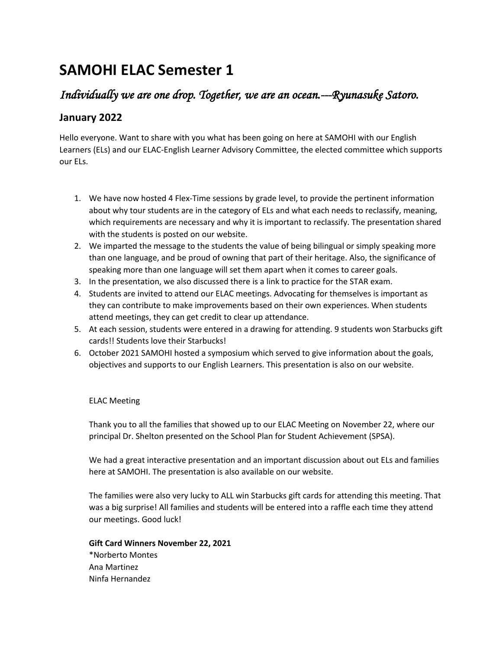# **SAMOHI ELAC Semester 1**

# *Individually we are one drop. Together, we are an ocean.---Ryunasuke Satoro.*

## **January 2022**

Hello everyone. Want to share with you what has been going on here at SAMOHI with our English Learners (ELs) and our ELAC-English Learner Advisory Committee, the elected committee which supports our ELs.

- 1. We have now hosted 4 Flex-Time sessions by grade level, to provide the pertinent information about why tour students are in the category of ELs and what each needs to reclassify, meaning, which requirements are necessary and why it is important to reclassify. The presentation shared with the students is posted on our website.
- 2. We imparted the message to the students the value of being bilingual or simply speaking more than one language, and be proud of owning that part of their heritage. Also, the significance of speaking more than one language will set them apart when it comes to career goals.
- 3. In the presentation, we also discussed there is a link to practice for the STAR exam.
- 4. Students are invited to attend our ELAC meetings. Advocating for themselves is important as they can contribute to make improvements based on their own experiences. When students attend meetings, they can get credit to clear up attendance.
- 5. At each session, students were entered in a drawing for attending. 9 students won Starbucks gift cards!! Students love their Starbucks!
- 6. October 2021 SAMOHI hosted a symposium which served to give information about the goals, objectives and supports to our English Learners. This presentation is also on our website.

#### ELAC Meeting

Thank you to all the families that showed up to our ELAC Meeting on November 22, where our principal Dr. Shelton presented on the School Plan for Student Achievement (SPSA).

We had a great interactive presentation and an important discussion about out ELs and families here at SAMOHI. The presentation is also available on our website.

The families were also very lucky to ALL win Starbucks gift cards for attending this meeting. That was a big surprise! All families and students will be entered into a raffle each time they attend our meetings. Good luck!

### **Gift Card Winners November 22, 2021** \*Norberto Montes Ana Martinez Ninfa Hernandez